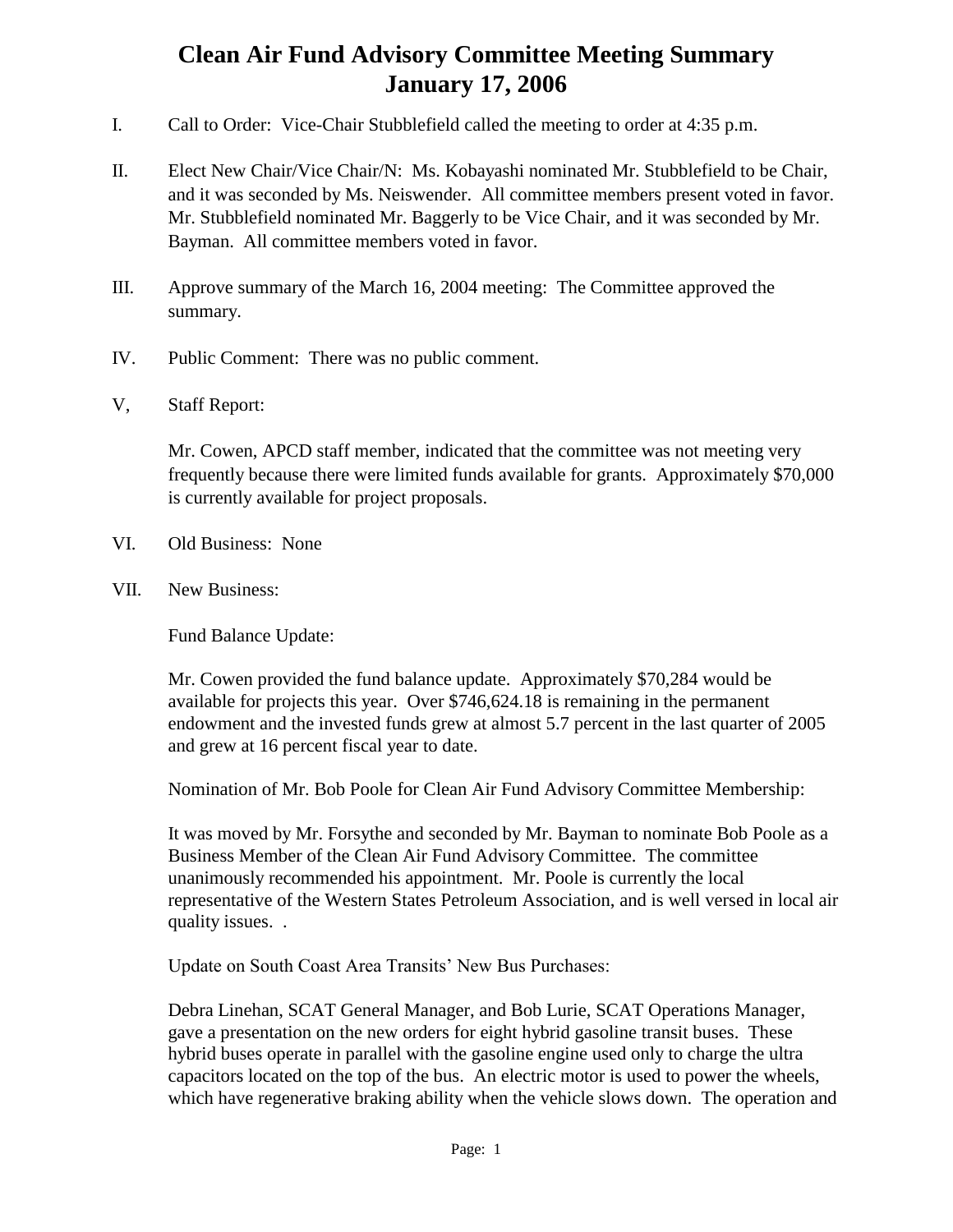## **Clean Air Fund Advisory Committee Meeting Summary January 17, 2006**

- I. Call to Order: Vice-Chair Stubblefield called the meeting to order at 4:35 p.m.
- II. Elect New Chair/Vice Chair/N: Ms. Kobayashi nominated Mr. Stubblefield to be Chair, and it was seconded by Ms. Neiswender. All committee members present voted in favor. Mr. Stubblefield nominated Mr. Baggerly to be Vice Chair, and it was seconded by Mr. Bayman. All committee members voted in favor.
- III. Approve summary of the March 16, 2004 meeting: The Committee approved the summary.
- IV. Public Comment: There was no public comment.
- V, Staff Report:

Mr. Cowen, APCD staff member, indicated that the committee was not meeting very frequently because there were limited funds available for grants. Approximately \$70,000 is currently available for project proposals.

- VI. Old Business: None
- VII. New Business:

Fund Balance Update:

Mr. Cowen provided the fund balance update. Approximately \$70,284 would be available for projects this year. Over \$746,624.18 is remaining in the permanent endowment and the invested funds grew at almost 5.7 percent in the last quarter of 2005 and grew at 16 percent fiscal year to date.

Nomination of Mr. Bob Poole for Clean Air Fund Advisory Committee Membership:

It was moved by Mr. Forsythe and seconded by Mr. Bayman to nominate Bob Poole as a Business Member of the Clean Air Fund Advisory Committee. The committee unanimously recommended his appointment. Mr. Poole is currently the local representative of the Western States Petroleum Association, and is well versed in local air quality issues. .

Update on South Coast Area Transits' New Bus Purchases:

Debra Linehan, SCAT General Manager, and Bob Lurie, SCAT Operations Manager, gave a presentation on the new orders for eight hybrid gasoline transit buses. These hybrid buses operate in parallel with the gasoline engine used only to charge the ultra capacitors located on the top of the bus. An electric motor is used to power the wheels, which have regenerative braking ability when the vehicle slows down. The operation and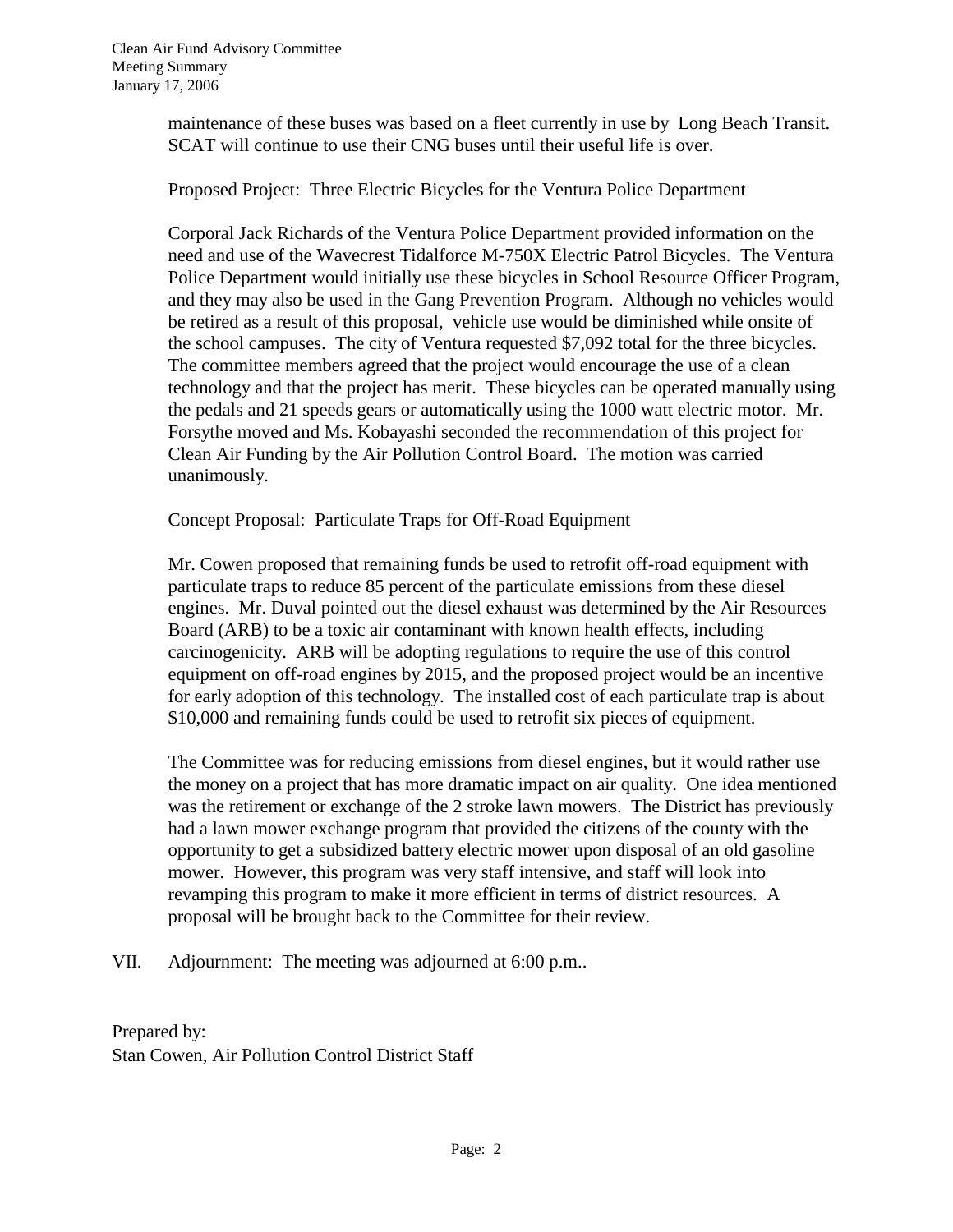maintenance of these buses was based on a fleet currently in use by Long Beach Transit. SCAT will continue to use their CNG buses until their useful life is over.

Proposed Project: Three Electric Bicycles for the Ventura Police Department

Corporal Jack Richards of the Ventura Police Department provided information on the need and use of the Wavecrest Tidalforce M-750X Electric Patrol Bicycles. The Ventura Police Department would initially use these bicycles in School Resource Officer Program, and they may also be used in the Gang Prevention Program. Although no vehicles would be retired as a result of this proposal, vehicle use would be diminished while onsite of the school campuses. The city of Ventura requested \$7,092 total for the three bicycles. The committee members agreed that the project would encourage the use of a clean technology and that the project has merit. These bicycles can be operated manually using the pedals and 21 speeds gears or automatically using the 1000 watt electric motor. Mr. Forsythe moved and Ms. Kobayashi seconded the recommendation of this project for Clean Air Funding by the Air Pollution Control Board. The motion was carried unanimously.

Concept Proposal: Particulate Traps for Off-Road Equipment

Mr. Cowen proposed that remaining funds be used to retrofit off-road equipment with particulate traps to reduce 85 percent of the particulate emissions from these diesel engines. Mr. Duval pointed out the diesel exhaust was determined by the Air Resources Board (ARB) to be a toxic air contaminant with known health effects, including carcinogenicity. ARB will be adopting regulations to require the use of this control equipment on off-road engines by 2015, and the proposed project would be an incentive for early adoption of this technology. The installed cost of each particulate trap is about \$10,000 and remaining funds could be used to retrofit six pieces of equipment.

The Committee was for reducing emissions from diesel engines, but it would rather use the money on a project that has more dramatic impact on air quality. One idea mentioned was the retirement or exchange of the 2 stroke lawn mowers. The District has previously had a lawn mower exchange program that provided the citizens of the county with the opportunity to get a subsidized battery electric mower upon disposal of an old gasoline mower. However, this program was very staff intensive, and staff will look into revamping this program to make it more efficient in terms of district resources. A proposal will be brought back to the Committee for their review.

VII. Adjournment: The meeting was adjourned at 6:00 p.m..

Prepared by: Stan Cowen, Air Pollution Control District Staff